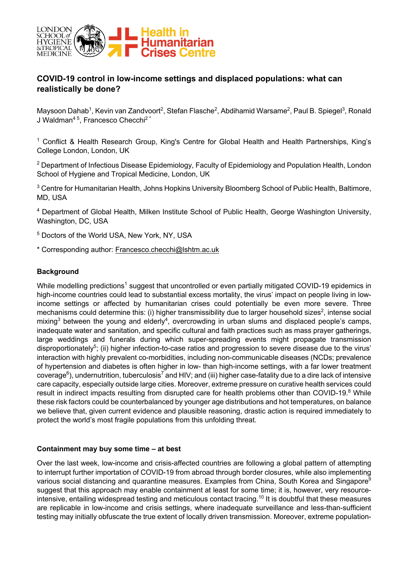

# **COVID-19 control in low-income settings and displaced populations: what can realistically be done?**

Maysoon Dahab<sup>1</sup>, Kevin van Zandvoort<sup>2</sup>, Stefan Flasche<sup>2</sup>, Abdihamid Warsame<sup>2</sup>, Paul B. Spiegel<sup>3</sup>, Ronald J Waldman<sup>45</sup>, Francesco Checchi<sup>2\*</sup>

<sup>1</sup> Conflict & Health Research Group, King's Centre for Global Health and Health Partnerships, King's College London, London, UK

<sup>2</sup> Department of Infectious Disease Epidemiology, Faculty of Epidemiology and Population Health, London School of Hygiene and Tropical Medicine, London, UK

<sup>3</sup> Centre for Humanitarian Health, Johns Hopkins University Bloomberg School of Public Health, Baltimore, MD, USA

<sup>4</sup> Department of Global Health, Milken Institute School of Public Health, George Washington University, Washington, DC, USA

<sup>5</sup> Doctors of the World USA, New York, NY, USA

\* Corresponding author: Francesco.checchi@lshtm.ac.uk

# **Background**

While modelling predictions<sup>1</sup> suggest that uncontrolled or even partially mitigated COVID-19 epidemics in high-income countries could lead to substantial excess mortality, the virus' impact on people living in lowincome settings or affected by humanitarian crises could potentially be even more severe. Three mechanisms could determine this: (i) higher transmissibility due to larger household sizes<sup>2</sup>, intense social mixing<sup>3</sup> between the young and elderly<sup>4</sup>, overcrowding in urban slums and displaced people's camps, inadequate water and sanitation, and specific cultural and faith practices such as mass prayer gatherings, large weddings and funerals during which super-spreading events might propagate transmission disproportionately<sup>5</sup>; (ii) higher infection-to-case ratios and progression to severe disease due to the virus' interaction with highly prevalent co-morbidities, including non-communicable diseases (NCDs; prevalence of hypertension and diabetes is often higher in low- than high-income settings, with a far lower treatment coverage<sup>6</sup>), undernutrition, tuberculosis<sup>7</sup> and HIV; and (iii) higher case-fatality due to a dire lack of intensive care capacity, especially outside large cities. Moreover, extreme pressure on curative health services could result in indirect impacts resulting from disrupted care for health problems other than COVID-19.<sup>8</sup> While these risk factors could be counterbalanced by younger age distributions and hot temperatures, on balance we believe that, given current evidence and plausible reasoning, drastic action is required immediately to protect the world's most fragile populations from this unfolding threat.

### **Containment may buy some time – at best**

Over the last week, low-income and crisis-affected countries are following a global pattern of attempting to interrupt further importation of COVID-19 from abroad through border closures, while also implementing various social distancing and quarantine measures. Examples from China, South Korea and Singapore<sup>9</sup> suggest that this approach may enable containment at least for some time; it is, however, very resourceintensive, entailing widespread testing and meticulous contact tracing.<sup>10</sup> It is doubtful that these measures are replicable in low-income and crisis settings, where inadequate surveillance and less-than-sufficient testing may initially obfuscate the true extent of locally driven transmission. Moreover, extreme population-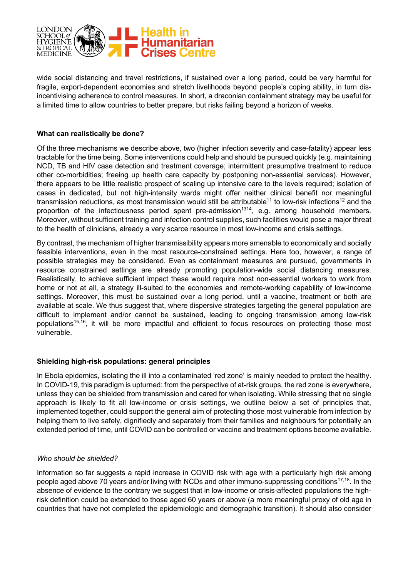

wide social distancing and travel restrictions, if sustained over a long period, could be very harmful for fragile, export-dependent economies and stretch livelihoods beyond people's coping ability, in turn disincentivising adherence to control measures. In short, a draconian containment strategy may be useful for a limited time to allow countries to better prepare, but risks failing beyond a horizon of weeks.

### **What can realistically be done?**

Of the three mechanisms we describe above, two (higher infection severity and case-fatality) appear less tractable for the time being. Some interventions could help and should be pursued quickly (e.g. maintaining NCD, TB and HIV case detection and treatment coverage; intermittent presumptive treatment to reduce other co-morbidities; freeing up health care capacity by postponing non-essential services). However, there appears to be little realistic prospect of scaling up intensive care to the levels required; isolation of cases in dedicated, but not high-intensity wards might offer neither clinical benefit nor meaningful transmission reductions, as most transmission would still be attributable<sup>11</sup> to low-risk infections<sup>12</sup> and the proportion of the infectiousness period spent pre-admission<sup>1314</sup>, e.g. among household members. Moreover, without sufficient training and infection control supplies, such facilities would pose a major threat to the health of clinicians, already a very scarce resource in most low-income and crisis settings.

By contrast, the mechanism of higher transmissibility appears more amenable to economically and socially feasible interventions, even in the most resource-constrained settings. Here too, however, a range of possible strategies may be considered. Even as containment measures are pursued, governments in resource constrained settings are already promoting population-wide social distancing measures. Realistically, to achieve sufficient impact these would require most non-essential workers to work from home or not at all, a strategy ill-suited to the economies and remote-working capability of low-income settings. Moreover, this must be sustained over a long period, until a vaccine, treatment or both are available at scale. We thus suggest that, where dispersive strategies targeting the general population are difficult to implement and/or cannot be sustained, leading to ongoing transmission among low-risk populations<sup>15,16</sup>, it will be more impactful and efficient to focus resources on protecting those most vulnerable.

#### **Shielding high-risk populations: general principles**

In Ebola epidemics, isolating the ill into a contaminated 'red zone' is mainly needed to protect the healthy. In COVID-19, this paradigm is upturned: from the perspective of at-risk groups, the red zone is everywhere, unless they can be shielded from transmission and cared for when isolating. While stressing that no single approach is likely to fit all low-income or crisis settings, we outline below a set of principles that, implemented together, could support the general aim of protecting those most vulnerable from infection by helping them to live safely, dignifiedly and separately from their families and neighbours for potentially an extended period of time, until COVID can be controlled or vaccine and treatment options become available.

# *Who should be shielded?*

Information so far suggests a rapid increase in COVID risk with age with a particularly high risk among people aged above 70 years and/or living with NCDs and other immuno-suppressing conditions<sup>17,18</sup>. In the absence of evidence to the contrary we suggest that in low-income or crisis-affected populations the highrisk definition could be extended to those aged 60 years or above (a more meaningful proxy of old age in countries that have not completed the epidemiologic and demographic transition). It should also consider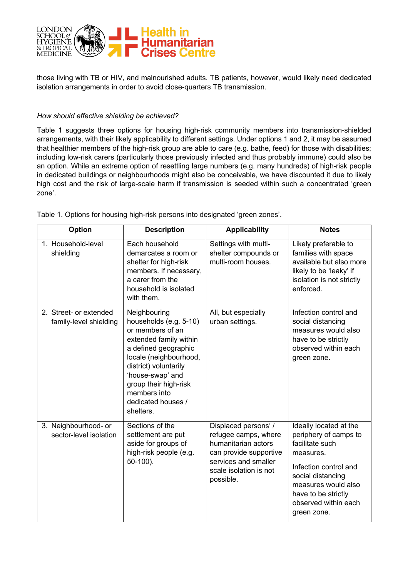

those living with TB or HIV, and malnourished adults. TB patients, however, would likely need dedicated isolation arrangements in order to avoid close-quarters TB transmission.

### *How should effective shielding be achieved?*

Table 1 suggests three options for housing high-risk community members into transmission-shielded arrangements, with their likely applicability to different settings. Under options 1 and 2, it may be assumed that healthier members of the high-risk group are able to care (e.g. bathe, feed) for those with disabilities; including low-risk carers (particularly those previously infected and thus probably immune) could also be an option. While an extreme option of resettling large numbers (e.g. many hundreds) of high-risk people in dedicated buildings or neighbourhoods might also be conceivable, we have discounted it due to likely high cost and the risk of large-scale harm if transmission is seeded within such a concentrated 'green zone'.

| <b>Option</b>                                    | <b>Description</b>                                                                                                                                                                                                                                              | <b>Applicability</b>                                                                                                                                         | <b>Notes</b>                                                                                                                                                                                                       |
|--------------------------------------------------|-----------------------------------------------------------------------------------------------------------------------------------------------------------------------------------------------------------------------------------------------------------------|--------------------------------------------------------------------------------------------------------------------------------------------------------------|--------------------------------------------------------------------------------------------------------------------------------------------------------------------------------------------------------------------|
| 1. Household-level<br>shielding                  | Each household<br>demarcates a room or<br>shelter for high-risk<br>members. If necessary,<br>a carer from the<br>household is isolated<br>with them.                                                                                                            | Settings with multi-<br>shelter compounds or<br>multi-room houses.                                                                                           | Likely preferable to<br>families with space<br>available but also more<br>likely to be 'leaky' if<br>isolation is not strictly<br>enforced.                                                                        |
| 2. Street- or extended<br>family-level shielding | Neighbouring<br>households (e.g. 5-10)<br>or members of an<br>extended family within<br>a defined geographic<br>locale (neighbourhood,<br>district) voluntarily<br>'house-swap' and<br>group their high-risk<br>members into<br>dedicated houses /<br>shelters. | All, but especially<br>urban settings.                                                                                                                       | Infection control and<br>social distancing<br>measures would also<br>have to be strictly<br>observed within each<br>green zone.                                                                                    |
| 3. Neighbourhood- or<br>sector-level isolation   | Sections of the<br>settlement are put<br>aside for groups of<br>high-risk people (e.g.<br>$50-100$ ).                                                                                                                                                           | Displaced persons' /<br>refugee camps, where<br>humanitarian actors<br>can provide supportive<br>services and smaller<br>scale isolation is not<br>possible. | Ideally located at the<br>periphery of camps to<br>facilitate such<br>measures.<br>Infection control and<br>social distancing<br>measures would also<br>have to be strictly<br>observed within each<br>green zone. |

Table 1. Options for housing high-risk persons into designated 'green zones'.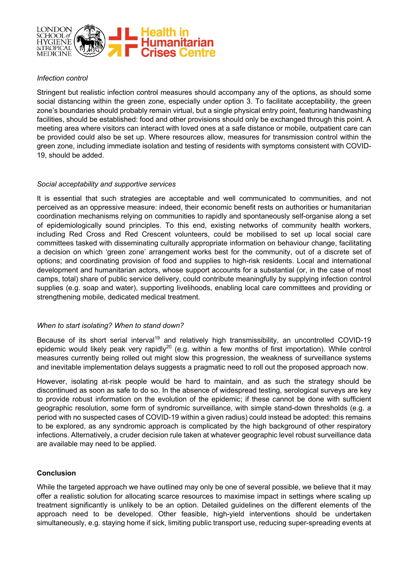

#### *Infection control*

Stringent but realistic infection control measures should accompany any of the options, as should some social distancing within the green zone, especially under option 3. To facilitate acceptability, the green zone's boundaries should probably remain virtual, but a single physical entry point, featuring handwashing facilities, should be established: food and other provisions should only be exchanged through this point. A meeting area where visitors can interact with loved ones at a safe distance or mobile, outpatient care can be provided could also be set up. Where resources allow, measures for transmission control within the green zone, including immediate isolation and testing of residents with symptoms consistent with COVID-19, should be added.

#### *Social acceptability and supportive services*

It is essential that such strategies are acceptable and well communicated to communities, and not perceived as an oppressive measure: indeed, their economic benefit rests on authorities or humanitarian coordination mechanisms relying on communities to rapidly and spontaneously self-organise along a set of epidemiologically sound principles. To this end, existing networks of community health workers, including Red Cross and Red Crescent volunteers, could be mobilised to set up local social care committees tasked with disseminating culturally appropriate information on behaviour change, facilitating a decision on which 'green zone' arrangement works best for the community, out of a discrete set of options; and coordinating provision of food and supplies to high-risk residents. Local and international development and humanitarian actors, whose support accounts for a substantial (or, in the case of most camps, total) share of public service delivery, could contribute meaningfully by supplying infection control supplies (e.g. soap and water), supporting livelihoods, enabling local care committees and providing or strengthening mobile, dedicated medical treatment.

#### *When to start isolating? When to stand down?*

Because of its short serial interval<sup>19</sup> and relatively high transmissibility, an uncontrolled COVID-19 epidemic would likely peak very rapidly<sup>20</sup> (e.g. within a few months of first importation). While control measures currently being rolled out might slow this progression, the weakness of surveillance systems and inevitable implementation delays suggests a pragmatic need to roll out the proposed approach now.

However, isolating at-risk people would be hard to maintain, and as such the strategy should be discontinued as soon as safe to do so. In the absence of widespread testing, serological surveys are key to provide robust information on the evolution of the epidemic; if these cannot be done with sufficient geographic resolution, some form of syndromic surveillance, with simple stand-down thresholds (e.g. a period with no suspected cases of COVID-19 within a given radius) could instead be adopted: this remains to be explored, as any syndromic approach is complicated by the high background of other respiratory infections. Alternatively, a cruder decision rule taken at whatever geographic level robust surveillance data are available may need to be applied.

# **Conclusion**

While the targeted approach we have outlined may only be one of several possible, we believe that it may offer a realistic solution for allocating scarce resources to maximise impact in settings where scaling up treatment significantly is unlikely to be an option. Detailed guidelines on the different elements of the approach need to be developed. Other feasible, high-yield interventions should be undertaken simultaneously, e.g. staying home if sick, limiting public transport use, reducing super-spreading events at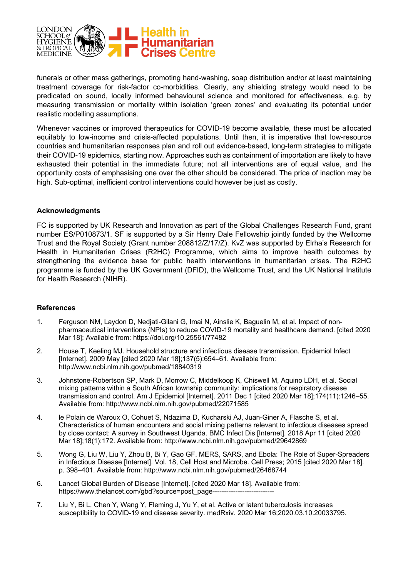

funerals or other mass gatherings, promoting hand-washing, soap distribution and/or at least maintaining treatment coverage for risk-factor co-morbidities. Clearly, any shielding strategy would need to be predicated on sound, locally informed behavioural science and monitored for effectiveness, e.g. by measuring transmission or mortality within isolation 'green zones' and evaluating its potential under realistic modelling assumptions.

Whenever vaccines or improved therapeutics for COVID-19 become available, these must be allocated equitably to low-income and crisis-affected populations. Until then, it is imperative that low-resource countries and humanitarian responses plan and roll out evidence-based, long-term strategies to mitigate their COVID-19 epidemics, starting now. Approaches such as containment of importation are likely to have exhausted their potential in the immediate future; not all interventions are of equal value, and the opportunity costs of emphasising one over the other should be considered. The price of inaction may be high. Sub-optimal, inefficient control interventions could however be just as costly.

#### **Acknowledgments**

FC is supported by UK Research and Innovation as part of the Global Challenges Research Fund, grant number ES/P010873/1. SF is supported by a Sir Henry Dale Fellowship jointly funded by the Wellcome Trust and the Royal Society (Grant number 208812/Z/17/Z). KvZ was supported by Elrha's Research for Health in Humanitarian Crises (R2HC) Programme, which aims to improve health outcomes by strengthening the evidence base for public health interventions in humanitarian crises. The R2HC programme is funded by the UK Government (DFID), the Wellcome Trust, and the UK National Institute for Health Research (NIHR).

#### **References**

- 1. Ferguson NM, Laydon D, Nedjati-Gilani G, Imai N, Ainslie K, Baguelin M, et al. Impact of nonpharmaceutical interventions (NPIs) to reduce COVID-19 mortality and healthcare demand. [cited 2020 Mar 18]; Available from: https://doi.org/10.25561/77482
- 2. House T, Keeling MJ. Household structure and infectious disease transmission. Epidemiol Infect [Internet]. 2009 May [cited 2020 Mar 18];137(5):654–61. Available from: http://www.ncbi.nlm.nih.gov/pubmed/18840319
- 3. Johnstone-Robertson SP, Mark D, Morrow C, Middelkoop K, Chiswell M, Aquino LDH, et al. Social mixing patterns within a South African township community: implications for respiratory disease transmission and control. Am J Epidemiol [Internet]. 2011 Dec 1 [cited 2020 Mar 18];174(11):1246–55. Available from: http://www.ncbi.nlm.nih.gov/pubmed/22071585
- 4. le Polain de Waroux O, Cohuet S, Ndazima D, Kucharski AJ, Juan-Giner A, Flasche S, et al. Characteristics of human encounters and social mixing patterns relevant to infectious diseases spread by close contact: A survey in Southwest Uganda. BMC Infect Dis [Internet]. 2018 Apr 11 [cited 2020 Mar 18];18(1):172. Available from: http://www.ncbi.nlm.nih.gov/pubmed/29642869
- 5. Wong G, Liu W, Liu Y, Zhou B, Bi Y, Gao GF. MERS, SARS, and Ebola: The Role of Super-Spreaders in Infectious Disease [Internet]. Vol. 18, Cell Host and Microbe. Cell Press; 2015 [cited 2020 Mar 18]. p. 398–401. Available from: http://www.ncbi.nlm.nih.gov/pubmed/26468744
- 6. Lancet Global Burden of Disease [Internet]. [cited 2020 Mar 18]. Available from: https://www.thelancet.com/gbd?source=post\_page--
- 7. Liu Y, Bi L, Chen Y, Wang Y, Fleming J, Yu Y, et al. Active or latent tuberculosis increases susceptibility to COVID-19 and disease severity. medRxiv. 2020 Mar 16;2020.03.10.20033795.